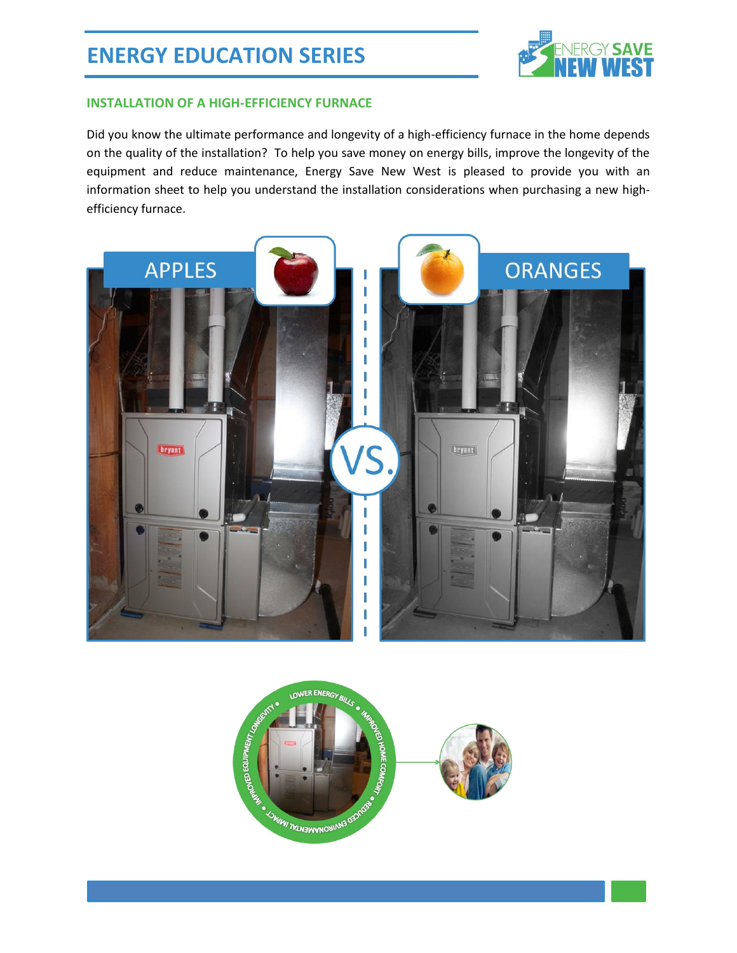

#### **INSTALLATION OF A HIGH-EFFICIENCY FURNACE**

Did you know the ultimate performance and longevity of a high-efficiency furnace in the home depends on the quality of the installation? To help you save money on energy bills, improve the longevity of the equipment and reduce maintenance, Energy Save New West is pleased to provide you with an information sheet to help you understand the installation considerations when purchasing a new highefficiency furnace.



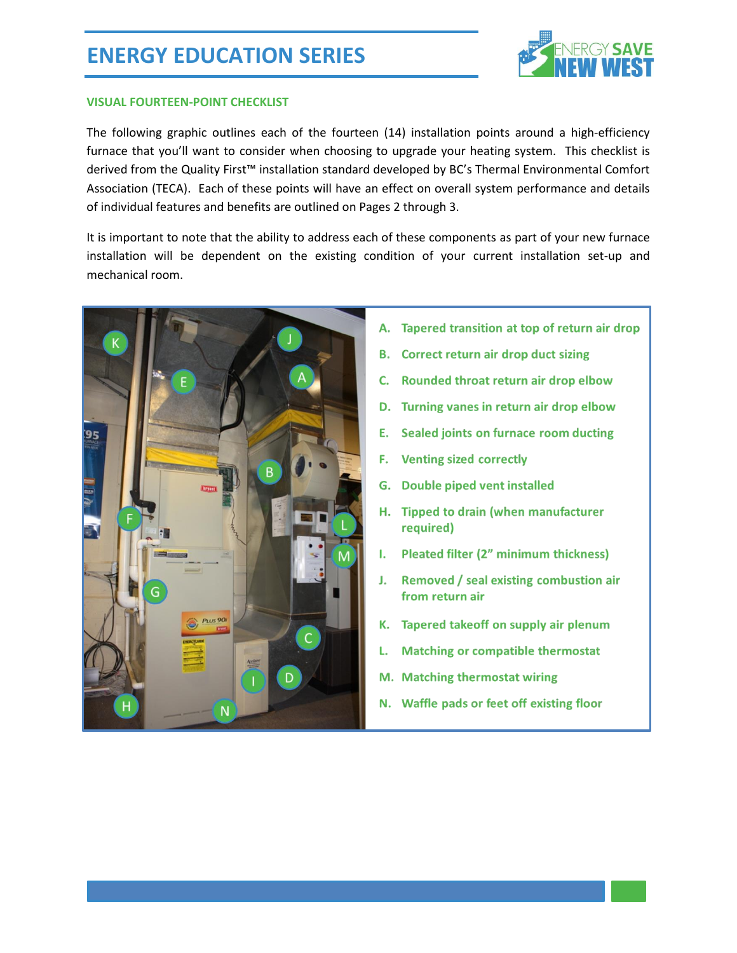# **ENERGY EDUCATION SERIES**



#### **VISUAL FOURTEEN-POINT CHECKLIST**

The following graphic outlines each of the fourteen (14) installation points around a high-efficiency furnace that you'll want to consider when choosing to upgrade your heating system. This checklist is derived from the Quality First™ installation standard developed by BC's Thermal Environmental Comfort Association (TECA). Each of these points will have an effect on overall system performance and details of individual features and benefits are outlined on Pages 2 through 3.

It is important to note that the ability to address each of these components as part of your new furnace installation will be dependent on the existing condition of your current installation set-up and mechanical room.



- A. Tapered transition at top of return air drop
- **B.** Correct return air drop duct sizing
- C. Rounded throat return air drop elbow
- D. Turning vanes in return air drop elbow
- Sealed joints on furnace room ducting Е.
- F. **Venting sized correctly**
- G. Double piped vent installed
- H. Tipped to drain (when manufacturer required)
- I. Pleated filter (2" minimum thickness)
- J. Removed / seal existing combustion air from return air
- K. Tapered takeoff on supply air plenum
- **Matching or compatible thermostat** L.
- M. Matching thermostat wiring
- N. Waffle pads or feet off existing floor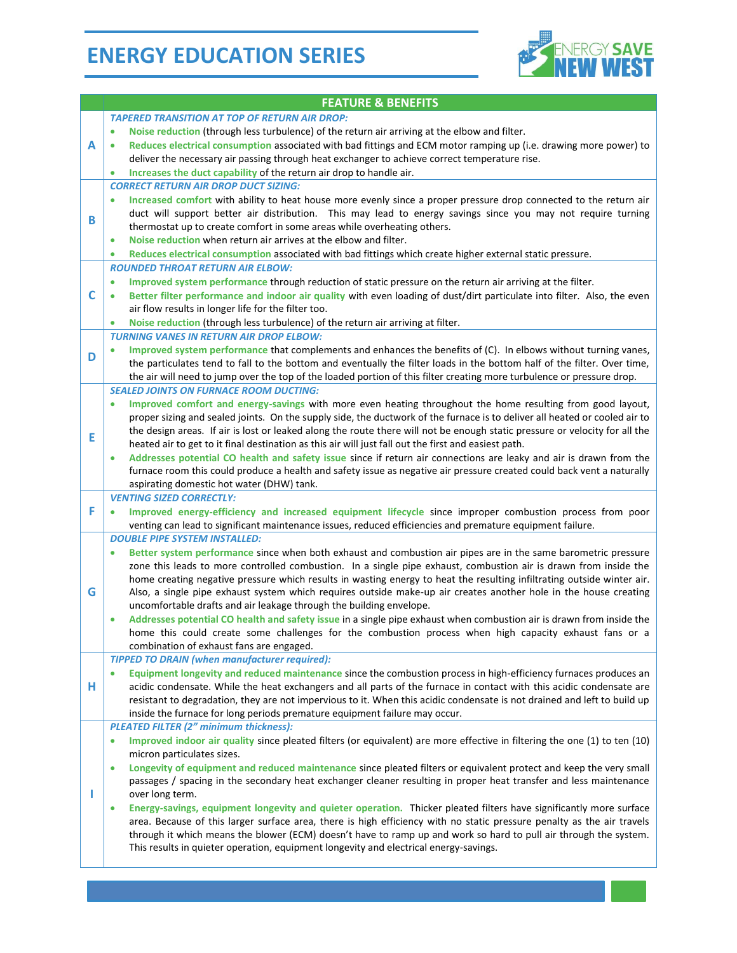# **ENERGY EDUCATION SERIES**



|   | <b>FEATURE &amp; BENEFITS</b>                                                                                                                                                                                                                                                                                                                                                                                                                                                                                                                                                                                                                                                                                                                                                                                                                                                                                                                              |
|---|------------------------------------------------------------------------------------------------------------------------------------------------------------------------------------------------------------------------------------------------------------------------------------------------------------------------------------------------------------------------------------------------------------------------------------------------------------------------------------------------------------------------------------------------------------------------------------------------------------------------------------------------------------------------------------------------------------------------------------------------------------------------------------------------------------------------------------------------------------------------------------------------------------------------------------------------------------|
| А | <b>TAPERED TRANSITION AT TOP OF RETURN AIR DROP:</b><br>Noise reduction (through less turbulence) of the return air arriving at the elbow and filter.<br>$\bullet$<br>Reduces electrical consumption associated with bad fittings and ECM motor ramping up (i.e. drawing more power) to<br>$\bullet$<br>deliver the necessary air passing through heat exchanger to achieve correct temperature rise.<br>Increases the duct capability of the return air drop to handle air.<br>$\bullet$                                                                                                                                                                                                                                                                                                                                                                                                                                                                  |
| в | <b>CORRECT RETURN AIR DROP DUCT SIZING:</b><br>Increased comfort with ability to heat house more evenly since a proper pressure drop connected to the return air<br>duct will support better air distribution. This may lead to energy savings since you may not require turning<br>thermostat up to create comfort in some areas while overheating others.<br>Noise reduction when return air arrives at the elbow and filter.<br>٠<br>Reduces electrical consumption associated with bad fittings which create higher external static pressure.<br>۰                                                                                                                                                                                                                                                                                                                                                                                                     |
| C | <b>ROUNDED THROAT RETURN AIR ELBOW:</b><br>Improved system performance through reduction of static pressure on the return air arriving at the filter.<br>$\bullet$<br>Better filter performance and indoor air quality with even loading of dust/dirt particulate into filter. Also, the even<br>$\bullet$<br>air flow results in longer life for the filter too.<br>Noise reduction (through less turbulence) of the return air arriving at filter.<br>۰                                                                                                                                                                                                                                                                                                                                                                                                                                                                                                  |
| D | <b>TURNING VANES IN RETURN AIR DROP ELBOW:</b><br>Improved system performance that complements and enhances the benefits of (C). In elbows without turning vanes,<br>the particulates tend to fall to the bottom and eventually the filter loads in the bottom half of the filter. Over time,<br>the air will need to jump over the top of the loaded portion of this filter creating more turbulence or pressure drop.                                                                                                                                                                                                                                                                                                                                                                                                                                                                                                                                    |
| Ε | <b>SEALED JOINTS ON FURNACE ROOM DUCTING:</b><br>Improved comfort and energy-savings with more even heating throughout the home resulting from good layout,<br>۰<br>proper sizing and sealed joints. On the supply side, the ductwork of the furnace is to deliver all heated or cooled air to<br>the design areas. If air is lost or leaked along the route there will not be enough static pressure or velocity for all the<br>heated air to get to it final destination as this air will just fall out the first and easiest path.<br>Addresses potential CO health and safety issue since if return air connections are leaky and air is drawn from the<br>۰<br>furnace room this could produce a health and safety issue as negative air pressure created could back vent a naturally<br>aspirating domestic hot water (DHW) tank.                                                                                                                    |
| F | <b>VENTING SIZED CORRECTLY:</b><br>Improved energy-efficiency and increased equipment lifecycle since improper combustion process from poor<br>$\bullet$<br>venting can lead to significant maintenance issues, reduced efficiencies and premature equipment failure.                                                                                                                                                                                                                                                                                                                                                                                                                                                                                                                                                                                                                                                                                      |
| G | <b>DOUBLE PIPE SYSTEM INSTALLED:</b><br>Better system performance since when both exhaust and combustion air pipes are in the same barometric pressure<br>۰<br>zone this leads to more controlled combustion. In a single pipe exhaust, combustion air is drawn from inside the<br>home creating negative pressure which results in wasting energy to heat the resulting infiltrating outside winter air.<br>Also, a single pipe exhaust system which requires outside make-up air creates another hole in the house creating<br>uncomfortable drafts and air leakage through the building envelope.<br>Addresses potential CO health and safety issue in a single pipe exhaust when combustion air is drawn from inside the<br>$\bullet$<br>home this could create some challenges for the combustion process when high capacity exhaust fans or a<br>combination of exhaust fans are engaged.                                                            |
| н | <b>TIPPED TO DRAIN (when manufacturer required):</b><br>Equipment longevity and reduced maintenance since the combustion process in high-efficiency furnaces produces an<br>acidic condensate. While the heat exchangers and all parts of the furnace in contact with this acidic condensate are<br>resistant to degradation, they are not impervious to it. When this acidic condensate is not drained and left to build up<br>inside the furnace for long periods premature equipment failure may occur.                                                                                                                                                                                                                                                                                                                                                                                                                                                 |
|   | <b>PLEATED FILTER (2" minimum thickness):</b><br>Improved indoor air quality since pleated filters (or equivalent) are more effective in filtering the one (1) to ten (10)<br>۰<br>micron particulates sizes.<br>Longevity of equipment and reduced maintenance since pleated filters or equivalent protect and keep the very small<br>$\bullet$<br>passages / spacing in the secondary heat exchanger cleaner resulting in proper heat transfer and less maintenance<br>over long term.<br>Energy-savings, equipment longevity and quieter operation. Thicker pleated filters have significantly more surface<br>۰<br>area. Because of this larger surface area, there is high efficiency with no static pressure penalty as the air travels<br>through it which means the blower (ECM) doesn't have to ramp up and work so hard to pull air through the system.<br>This results in quieter operation, equipment longevity and electrical energy-savings. |